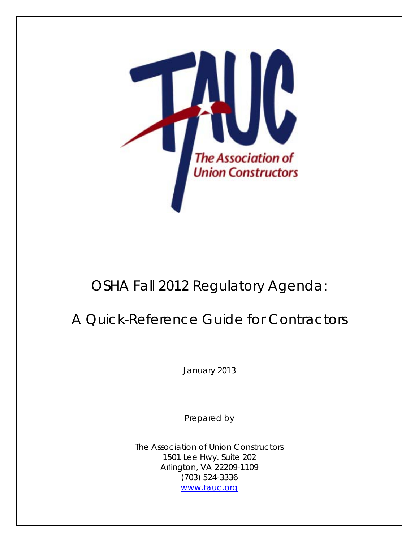

# OSHA Fall 2012 Regulatory Agenda:

# A Quick-Reference Guide for Contractors

*January 2013*

Prepared by

The Association of Union Constructors 1501 Lee Hwy. Suite 202 Arlington, VA 22209-1109 (703) 524-3336 [www.tauc.org](http://www.tauc.org/)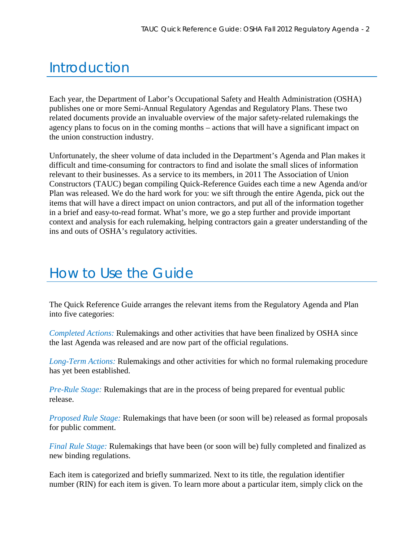# Introduction

Each year, the Department of Labor's Occupational Safety and Health Administration (OSHA) publishes one or more Semi-Annual Regulatory Agendas and Regulatory Plans. These two related documents provide an invaluable overview of the major safety-related rulemakings the agency plans to focus on in the coming months – actions that will have a significant impact on the union construction industry.

Unfortunately, the sheer volume of data included in the Department's Agenda and Plan makes it difficult and time-consuming for contractors to find and isolate the small slices of information relevant to their businesses. As a service to its members, in 2011 The Association of Union Constructors (TAUC) began compiling Quick-Reference Guides each time a new Agenda and/or Plan was released. We do the hard work for you: we sift through the entire Agenda, pick out the items that will have a direct impact on union contractors, and put all of the information together in a brief and easy-to-read format. What's more, we go a step further and provide important context and analysis for each rulemaking, helping contractors gain a greater understanding of the ins and outs of OSHA's regulatory activities.

# How to Use the Guide

The Quick Reference Guide arranges the relevant items from the Regulatory Agenda and Plan into five categories:

*[Completed Actions:](#page-2-0)* Rulemakings and other activities that have been finalized by OSHA since the last Agenda was released and are now part of the official regulations.

*[Long-Term Actions:](#page-4-0)* Rulemakings and other activities for which no formal rulemaking procedure has yet been established.

*[Pre-Rule Stage:](#page-4-0)* Rulemakings that are in the process of being prepared for eventual public release.

*[Proposed Rule Stage:](#page-6-0)* Rulemakings that have been (or soon will be) released as formal proposals for public comment.

*[Final Rule Stage:](#page-10-0)* Rulemakings that have been (or soon will be) fully completed and finalized as new binding regulations.

Each item is categorized and briefly summarized. Next to its title, the regulation identifier number (RIN) for each item is given. To learn more about a particular item, simply click on the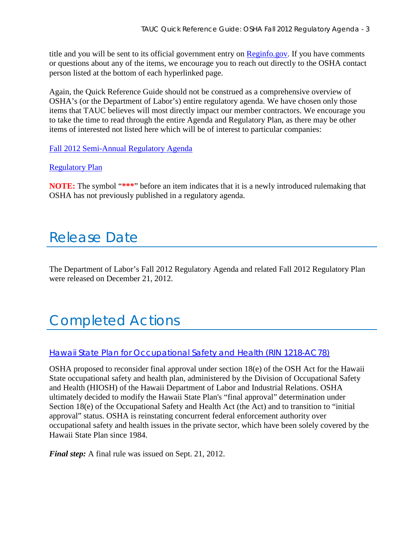<span id="page-2-0"></span>title and you will be sent to its official government entry on [Reginfo.gov.](http://www.reginfo.gov/) If you have comments or questions about any of the items, we encourage you to reach out directly to the OSHA contact person listed at the bottom of each hyperlinked page.

Again, the Quick Reference Guide should not be construed as a comprehensive overview of OSHA's (or the Department of Labor's) entire regulatory agenda. We have chosen only those items that TAUC believes will most directly impact our member contractors. We encourage you to take the time to read through the entire Agenda and Regulatory Plan, as there may be other items of interested not listed here which will be of interest to particular companies:

[Fall 2012 Semi-Annual Regulatory Agenda](http://www.reginfo.gov/public/do/eAgendaMain?operation=OPERATION_GET_AGENCY_RULE_LIST¤tPub=true&agencyCode=&showStage=active&agencyCd=1200&Image58.x=41&Image58.y=15)

#### [Regulatory Plan](http://www.tauc.org/files/DOL-2012-0008-0002.pdf)

**NOTE:** The symbol "**\*\*\***" before an item indicates that it is a newly introduced rulemaking that OSHA has not previously published in a regulatory agenda.

# Release Date

The Department of Labor's Fall 2012 Regulatory Agenda and related Fall 2012 Regulatory Plan were released on December 21, 2012.

# Completed Actions

#### Hawaii State Plan for [Occupational Safety and Health \(RIN 1218-AC78\)](http://www.regulations.gov/#!documentDetail;D=OSHA-2012-0029-0007)

OSHA proposed to reconsider final approval under section 18(e) of the OSH Act for the Hawaii State occupational safety and health plan, administered by the Division of Occupational Safety and Health (HIOSH) of the Hawaii Department of Labor and Industrial Relations. OSHA ultimately decided to modify the Hawaii State Plan's "final approval" determination under Section 18(e) of the Occupational Safety and Health Act (the Act) and to transition to "initial approval" status. OSHA is reinstating concurrent federal enforcement authority over occupational safety and health issues in the private sector, which have been solely covered by the Hawaii State Plan since 1984.

*Final step:* A final rule was issued on Sept. 21, 2012.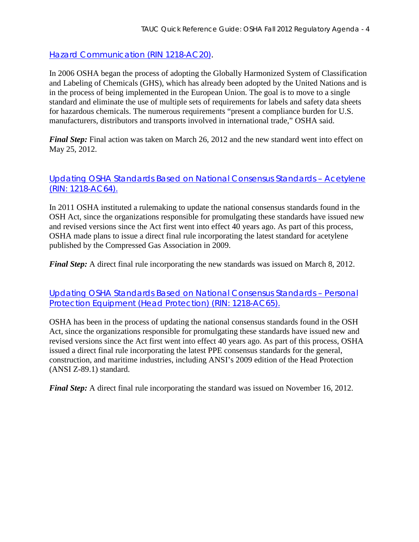[Hazard Communication \(RIN 1218-AC20\).](http://www.regulations.gov/#!documentDetail;D=OSHA-H022K-2006-0062-0676)

In 2006 OSHA began the process of adopting the Globally Harmonized System of Classification and Labeling of Chemicals (GHS), which has already been adopted by the United Nations and is in the process of being implemented in the European Union. The goal is to move to a single standard and eliminate the use of multiple sets of requirements for labels and safety data sheets for hazardous chemicals. The numerous requirements "present a compliance burden for U.S. manufacturers, distributors and transports involved in international trade," OSHA said.

*Final Step:* Final action was taken on March 26, 2012 and the new standard went into effect on May 25, 2012.

[Updating OSHA Standards Based on National Consensus Standards –](http://www.regulations.gov/#!documentDetail;D=OSHA-2011-0183-0009) Acetylene [\(RIN: 1218-AC64\).](http://www.regulations.gov/#!documentDetail;D=OSHA-2011-0183-0009)

In 2011 OSHA instituted a rulemaking to update the national consensus standards found in the OSH Act, since the organizations responsible for promulgating these standards have issued new and revised versions since the Act first went into effect 40 years ago. As part of this process, OSHA made plans to issue a direct final rule incorporating the latest standard for acetylene published by the Compressed Gas Association in 2009.

*Final Step:* A direct final rule incorporating the new standards was issued on March 8, 2012.

[Updating OSHA Standards Based on National Consensus Standards](http://www.regulations.gov/#!documentDetail;D=OSHA-2011-0184-0008) – Personal [Protection Equipment \(Head Protection\) \(RIN: 1218-AC65\).](http://www.regulations.gov/#!documentDetail;D=OSHA-2011-0184-0008)

OSHA has been in the process of updating the national consensus standards found in the OSH Act, since the organizations responsible for promulgating these standards have issued new and revised versions since the Act first went into effect 40 years ago. As part of this process, OSHA issued a direct final rule incorporating the latest PPE consensus standards for the general, construction, and maritime industries, including ANSI's 2009 edition of the Head Protection (ANSI Z-89.1) standard.

*Final Step:* A direct final rule incorporating the standard was issued on November 16, 2012.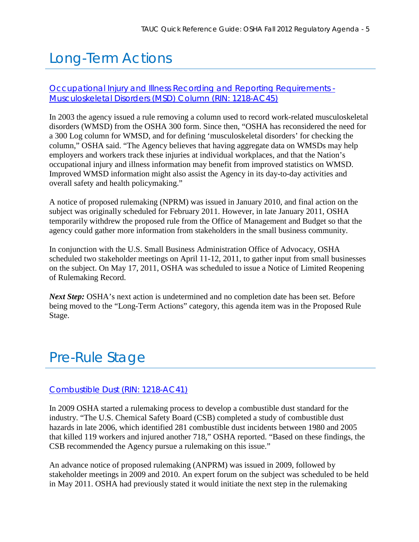# <span id="page-4-0"></span>Long-Term Actions

### [Occupational Injury and Illness Recording and Reporting Requirements -](http://www.reginfo.gov/public/do/eAgendaViewRule?pubId=201110&RIN=1218-AC45) [Musculoskeletal Disorders \(MSD\) Column \(RIN: 1218-AC45\)](http://www.reginfo.gov/public/do/eAgendaViewRule?pubId=201110&RIN=1218-AC45)

In 2003 the agency issued a rule removing a column used to record work-related musculoskeletal disorders (WMSD) from the OSHA 300 form. Since then, "OSHA has reconsidered the need for a 300 Log column for WMSD, and for defining 'musculoskeletal disorders' for checking the column," OSHA said. "The Agency believes that having aggregate data on WMSDs may help employers and workers track these injuries at individual workplaces, and that the Nation's occupational injury and illness information may benefit from improved statistics on WMSD. Improved WMSD information might also assist the Agency in its day-to-day activities and overall safety and health policymaking."

A notice of proposed rulemaking (NPRM) was issued in January 2010, and final action on the subject was originally scheduled for February 2011. However, in late January 2011, OSHA temporarily withdrew the proposed rule from the Office of Management and Budget so that the agency could gather more information from stakeholders in the small business community.

In conjunction with the U.S. Small Business Administration Office of Advocacy, OSHA scheduled two stakeholder meetings on April 11-12, 2011, to gather input from small businesses on the subject. On May 17, 2011, OSHA was scheduled to issue a Notice of Limited Reopening of Rulemaking Record.

*Next Step:* OSHA's next action is undetermined and no completion date has been set. Before being moved to the "Long-Term Actions" category, this agenda item was in the Proposed Rule Stage.

# Pre-Rule Stage

### [Combustible Dust \(RIN: 1218-AC41\)](http://www.reginfo.gov/public/do/eAgendaViewRule?pubId=201210&RIN=1218-AC41)

In 2009 OSHA started a rulemaking process to develop a combustible dust standard for the industry. "The U.S. Chemical Safety Board (CSB) completed a study of combustible dust hazards in late 2006, which identified 281 combustible dust incidents between 1980 and 2005 that killed 119 workers and injured another 718," OSHA reported. "Based on these findings, the CSB recommended the Agency pursue a rulemaking on this issue."

An advance notice of proposed rulemaking (ANPRM) was issued in 2009, followed by stakeholder meetings in 2009 and 2010. An expert forum on the subject was scheduled to be held in May 2011. OSHA had previously stated it would initiate the next step in the rulemaking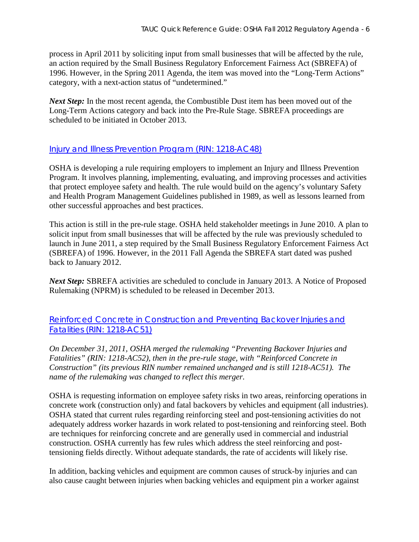process in April 2011 by soliciting input from small businesses that will be affected by the rule, an action required by the Small Business Regulatory Enforcement Fairness Act (SBREFA) of 1996. However, in the Spring 2011 Agenda, the item was moved into the "Long-Term Actions" category, with a next-action status of "undetermined."

*Next Step:* In the most recent agenda, the Combustible Dust item has been moved out of the Long-Term Actions category and back into the Pre-Rule Stage. SBREFA proceedings are scheduled to be initiated in October 2013.

### [Injury and Illness Prevention Program \(RIN: 1218-AC48\)](http://www.reginfo.gov/public/do/eAgendaViewRule?pubId=201210&RIN=1218-AC48)

OSHA is developing a rule requiring employers to implement an Injury and Illness Prevention Program. It involves planning, implementing, evaluating, and improving processes and activities that protect employee safety and health. The rule would build on the agency's voluntary Safety and Health Program Management Guidelines published in 1989, as well as lessons learned from other successful approaches and best practices.

This action is still in the pre-rule stage. OSHA held stakeholder meetings in June 2010. A plan to solicit input from small businesses that will be affected by the rule was previously scheduled to launch in June 2011, a step required by the Small Business Regulatory Enforcement Fairness Act (SBREFA) of 1996. However, in the 2011 Fall Agenda the SBREFA start dated was pushed back to January 2012.

*Next Step: SBREFA activities are scheduled to conclude in January 2013. A Notice of Proposed* Rulemaking (NPRM) is scheduled to be released in December 2013.

[Reinforced Concrete in Construction and Preventing Backover Injuries and](http://www.reginfo.gov/public/do/eAgendaViewRule?pubId=201210&RIN=1218-AC51)  [Fatalities \(RIN: 1218-AC51\)](http://www.reginfo.gov/public/do/eAgendaViewRule?pubId=201210&RIN=1218-AC51)

*On December 31, 2011, OSHA merged the rulemaking "Preventing Backover Injuries and Fatalities" (RIN: 1218-AC52), then in the pre-rule stage, with "Reinforced Concrete in Construction" (its previous RIN number remained unchanged and is still 1218-AC51). The name of the rulemaking was changed to reflect this merger.* 

OSHA is requesting information on employee safety risks in two areas, reinforcing operations in concrete work (construction only) and fatal backovers by vehicles and equipment (all industries). OSHA stated that current rules regarding reinforcing steel and post-tensioning activities do not adequately address worker hazards in work related to post-tensioning and reinforcing steel. Both are techniques for reinforcing concrete and are generally used in commercial and industrial construction. OSHA currently has few rules which address the steel reinforcing and posttensioning fields directly. Without adequate standards, the rate of accidents will likely rise.

In addition, backing vehicles and equipment are common causes of struck-by injuries and can also cause caught between injuries when backing vehicles and equipment pin a worker against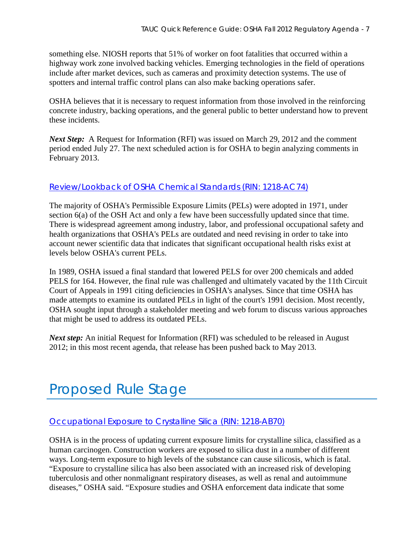<span id="page-6-0"></span>something else. NIOSH reports that 51% of worker on foot fatalities that occurred within a highway work zone involved backing vehicles. Emerging technologies in the field of operations include after market devices, such as cameras and proximity detection systems. The use of spotters and internal traffic control plans can also make backing operations safer.

OSHA believes that it is necessary to request information from those involved in the reinforcing concrete industry, backing operations, and the general public to better understand how to prevent these incidents.

*Next Step:* A Request for Information (RFI) was issued on March 29, 2012 and the comment period ended July 27. The next scheduled action is for OSHA to begin analyzing comments in February 2013.

### [Review/Lookback of OSHA Chemical Standards \(RIN: 1218-AC74\)](http://www.reginfo.gov/public/do/eAgendaViewRule?pubId=201210&RIN=1218-AC74)

The majority of OSHA's Permissible Exposure Limits (PELs) were adopted in 1971, under section 6(a) of the OSH Act and only a few have been successfully updated since that time. There is widespread agreement among industry, labor, and professional occupational safety and health organizations that OSHA's PELs are outdated and need revising in order to take into account newer scientific data that indicates that significant occupational health risks exist at levels below OSHA's current PELs.

In 1989, OSHA issued a final standard that lowered PELS for over 200 chemicals and added PELS for 164. However, the final rule was challenged and ultimately vacated by the 11th Circuit Court of Appeals in 1991 citing deficiencies in OSHA's analyses. Since that time OSHA has made attempts to examine its outdated PELs in light of the court's 1991 decision. Most recently, OSHA sought input through a stakeholder meeting and web forum to discuss various approaches that might be used to address its outdated PELs.

*Next step*: An initial Request for Information (RFI) was scheduled to be released in August 2012; in this most recent agenda, that release has been pushed back to May 2013.

# Proposed Rule Stage

#### [Occupational Exposure to Crystalline Silica \(RIN: 1218-AB70\)](http://www.reginfo.gov/public/do/eAgendaViewRule?pubId=201210&RIN=1218-AB70)

OSHA is in the process of updating current exposure limits for crystalline silica, classified as a human carcinogen. Construction workers are exposed to silica dust in a number of different ways. Long-term exposure to high levels of the substance can cause silicosis, which is fatal. "Exposure to crystalline silica has also been associated with an increased risk of developing tuberculosis and other nonmalignant respiratory diseases, as well as renal and autoimmune diseases," OSHA said. "Exposure studies and OSHA enforcement data indicate that some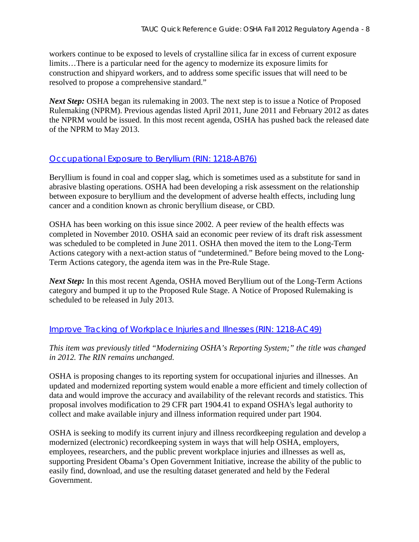workers continue to be exposed to levels of crystalline silica far in excess of current exposure limits…There is a particular need for the agency to modernize its exposure limits for construction and shipyard workers, and to address some specific issues that will need to be resolved to propose a comprehensive standard."

*Next Step:* OSHA began its rulemaking in 2003. The next step is to issue a Notice of Proposed Rulemaking (NPRM). Previous agendas listed April 2011, June 2011 and February 2012 as dates the NPRM would be issued. In this most recent agenda, OSHA has pushed back the released date of the NPRM to May 2013.

### [Occupational Exposure to Beryllium \(RIN: 1218-AB76\)](http://www.reginfo.gov/public/do/eAgendaViewRule?pubId=201210&RIN=1218-AB76)

Beryllium is found in coal and copper slag, which is sometimes used as a substitute for sand in abrasive blasting operations. OSHA had been developing a risk assessment on the relationship between exposure to beryllium and the development of adverse health effects, including lung cancer and a condition known as chronic beryllium disease, or CBD.

OSHA has been working on this issue since 2002. A peer review of the health effects was completed in November 2010. OSHA said an economic peer review of its draft risk assessment was scheduled to be completed in June 2011. OSHA then moved the item to the Long-Term Actions category with a next-action status of "undetermined." Before being moved to the Long-Term Actions category, the agenda item was in the Pre-Rule Stage.

*Next Step:* In this most recent Agenda, OSHA moved Beryllium out of the Long-Term Actions category and bumped it up to the Proposed Rule Stage. A Notice of Proposed Rulemaking is scheduled to be released in July 2013.

### [Improve Tracking of Workplace Injuries and Illnesses \(RIN: 1218-AC49\)](http://www.reginfo.gov/public/do/eAgendaViewRule?pubId=201210&RIN=1218-AC49)

*This item was previously titled "Modernizing OSHA's Reporting System;" the title was changed in 2012. The RIN remains unchanged.* 

OSHA is proposing changes to its reporting system for occupational injuries and illnesses. An updated and modernized reporting system would enable a more efficient and timely collection of data and would improve the accuracy and availability of the relevant records and statistics. This proposal involves modification to 29 CFR part 1904.41 to expand OSHA's legal authority to collect and make available injury and illness information required under part 1904.

OSHA is seeking to modify its current injury and illness recordkeeping regulation and develop a modernized (electronic) recordkeeping system in ways that will help OSHA, employers, employees, researchers, and the public prevent workplace injuries and illnesses as well as, supporting President Obama's Open Government Initiative, increase the ability of the public to easily find, download, and use the resulting dataset generated and held by the Federal Government.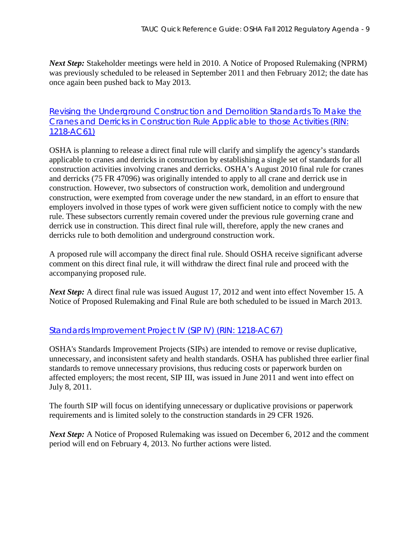*Next Step:* Stakeholder meetings were held in 2010. A Notice of Proposed Rulemaking (NPRM) was previously scheduled to be released in September 2011 and then February 2012; the date has once again been pushed back to May 2013.

### [Revising the Underground Construction and Demolition Standards To Make the](http://www.reginfo.gov/public/do/eAgendaViewRule?pubId=201210&RIN=1218-AC61)  [Cranes and Derricks in Construction Rule Applicable to those Activities \(RIN:](http://www.reginfo.gov/public/do/eAgendaViewRule?pubId=201210&RIN=1218-AC61)  [1218-AC61\)](http://www.reginfo.gov/public/do/eAgendaViewRule?pubId=201210&RIN=1218-AC61)

OSHA is planning to release a direct final rule will clarify and simplify the agency's standards applicable to cranes and derricks in construction by establishing a single set of standards for all construction activities involving cranes and derricks. OSHA's August 2010 final rule for cranes and derricks (75 FR 47096) was originally intended to apply to all crane and derrick use in construction. However, two subsectors of construction work, demolition and underground construction, were exempted from coverage under the new standard, in an effort to ensure that employers involved in those types of work were given sufficient notice to comply with the new rule. These subsectors currently remain covered under the previous rule governing crane and derrick use in construction. This direct final rule will, therefore, apply the new cranes and derricks rule to both demolition and underground construction work.

A proposed rule will accompany the direct final rule. Should OSHA receive significant adverse comment on this direct final rule, it will withdraw the direct final rule and proceed with the accompanying proposed rule.

*Next Step*: A direct final rule was issued August 17, 2012 and went into effect November 15. A Notice of Proposed Rulemaking and Final Rule are both scheduled to be issued in March 2013.

### [Standards Improvement Project IV \(SIP IV\) \(RIN: 1218-AC67\)](http://www.reginfo.gov/public/do/eAgendaViewRule?pubId=201210&RIN=1218-AC67)

OSHA's Standards Improvement Projects (SIPs) are intended to remove or revise duplicative, unnecessary, and inconsistent safety and health standards. OSHA has published three earlier final standards to remove unnecessary provisions, thus reducing costs or paperwork burden on affected employers; the most recent, SIP III, was issued in June 2011 and went into effect on July 8, 2011.

The fourth SIP will focus on identifying unnecessary or duplicative provisions or paperwork requirements and is limited solely to the construction standards in 29 CFR 1926.

*Next Step:* A Notice of Proposed Rulemaking was issued on December 6, 2012 and the comment period will end on February 4, 2013. No further actions were listed.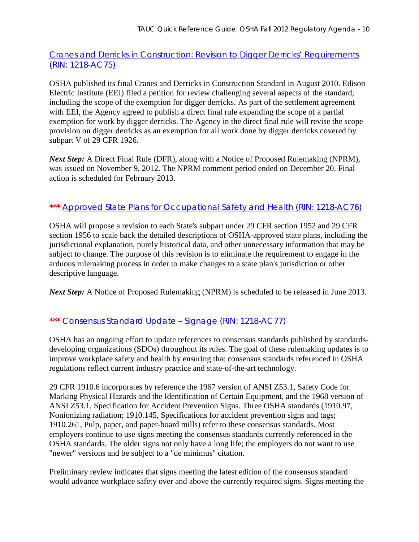## [Cranes and Derricks in Construction: Revision to Digger Derricks' Requirements](http://www.reginfo.gov/public/do/eAgendaViewRule?pubId=201210&RIN=1218-AC75)  [\(RIN: 1218-AC75\)](http://www.reginfo.gov/public/do/eAgendaViewRule?pubId=201210&RIN=1218-AC75)

OSHA published its final Cranes and Derricks in Construction Standard in August 2010. Edison Electric Institute (EEI) filed a petition for review challenging several aspects of the standard, including the scope of the exemption for digger derricks. As part of the settlement agreement with EEI, the Agency agreed to publish a direct final rule expanding the scope of a partial exemption for work by digger derricks. The Agency in the direct final rule will revise the scope provision on digger derricks as an exemption for all work done by digger derricks covered by subpart V of 29 CFR 1926.

*Next Step:* A Direct Final Rule (DFR), along with a Notice of Proposed Rulemaking (NPRM), was issued on November 9, 2012. The NPRM comment period ended on December 20. Final action is scheduled for February 2013.

## **\*\*\*** [Approved State Plans for Occupational Safety and Health \(RIN: 1218-AC76\)](http://www.reginfo.gov/public/do/eAgendaViewRule?pubId=201210&RIN=1218-AC76)

OSHA will propose a revision to each State's subpart under 29 CFR section 1952 and 29 CFR section 1956 to scale back the detailed descriptions of OSHA-approved state plans, including the jurisdictional explanation, purely historical data, and other unnecessary information that may be subject to change. The purpose of this revision is to eliminate the requirement to engage in the arduous rulemaking process in order to make changes to a state plan's jurisdiction or other descriptive language.

*Next Step:* A Notice of Proposed Rulemaking (NPRM) is scheduled to be released in June 2013.

## **\*\*\*** [Consensus Standard Update –](http://www.reginfo.gov/public/do/eAgendaViewRule?pubId=201210&RIN=1218-AC77) Signage (RIN: 1218-AC77)

OSHA has an ongoing effort to update references to consensus standards published by standardsdeveloping organizations (SDOs) throughout its rules. The goal of these rulemaking updates is to improve workplace safety and health by ensuring that consensus standards referenced in OSHA regulations reflect current industry practice and state-of-the-art technology.

29 CFR 1910.6 incorporates by reference the 1967 version of ANSI Z53.1, Safety Code for Marking Physical Hazards and the Identification of Certain Equipment, and the 1968 version of ANSI Z53.1, Specification for Accident Prevention Signs. Three OSHA standards (1910.97, Nonionizing radiation; 1910.145, Specifications for accident prevention signs and tags; 1910.261, Pulp, paper, and paper-board mills) refer to these consensus standards. Most employers continue to use signs meeting the consensus standards currently referenced in the OSHA standards. The older signs not only have a long life; the employers do not want to use "newer" versions and be subject to a "de minimus" citation.

Preliminary review indicates that signs meeting the latest edition of the consensus standard would advance workplace safety over and above the currently required signs. Signs meeting the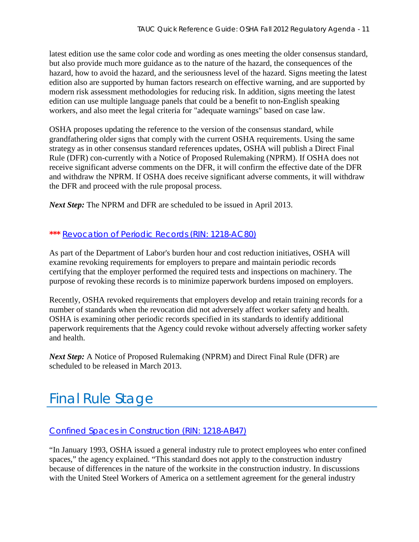<span id="page-10-0"></span>latest edition use the same color code and wording as ones meeting the older consensus standard, but also provide much more guidance as to the nature of the hazard, the consequences of the hazard, how to avoid the hazard, and the seriousness level of the hazard. Signs meeting the latest edition also are supported by human factors research on effective warning, and are supported by modern risk assessment methodologies for reducing risk. In addition, signs meeting the latest edition can use multiple language panels that could be a benefit to non-English speaking workers, and also meet the legal criteria for "adequate warnings" based on case law.

OSHA proposes updating the reference to the version of the consensus standard, while grandfathering older signs that comply with the current OSHA requirements. Using the same strategy as in other consensus standard references updates, OSHA will publish a Direct Final Rule (DFR) con-currently with a Notice of Proposed Rulemaking (NPRM). If OSHA does not receive significant adverse comments on the DFR, it will confirm the effective date of the DFR and withdraw the NPRM. If OSHA does receive significant adverse comments, it will withdraw the DFR and proceed with the rule proposal process.

*Next Step:* The NPRM and DFR are scheduled to be issued in April 2013.

### **\*\*\*** [Revocation of Periodic Records \(RIN: 1218-AC80\)](http://www.reginfo.gov/public/do/eAgendaViewRule?pubId=201210&RIN=1218-AC80)

As part of the Department of Labor's burden hour and cost reduction initiatives, OSHA will examine revoking requirements for employers to prepare and maintain periodic records certifying that the employer performed the required tests and inspections on machinery. The purpose of revoking these records is to minimize paperwork burdens imposed on employers.

Recently, OSHA revoked requirements that employers develop and retain training records for a number of standards when the revocation did not adversely affect worker safety and health. OSHA is examining other periodic records specified in its standards to identify additional paperwork requirements that the Agency could revoke without adversely affecting worker safety and health.

*Next Step:* A Notice of Proposed Rulemaking (NPRM) and Direct Final Rule (DFR) are scheduled to be released in March 2013.

# Final Rule Stage

### [Confined Spaces in Construction \(RIN: 1218-AB47\)](http://www.reginfo.gov/public/do/eAgendaViewRule?pubId=201210&RIN=1218-AB47)

"In January 1993, OSHA issued a general industry rule to protect employees who enter confined spaces," the agency explained. "This standard does not apply to the construction industry because of differences in the nature of the worksite in the construction industry. In discussions with the United Steel Workers of America on a settlement agreement for the general industry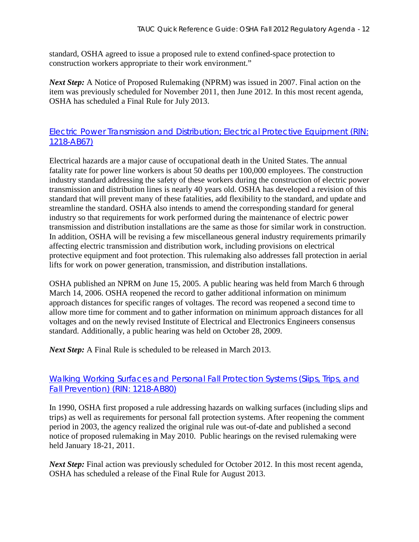standard, OSHA agreed to issue a proposed rule to extend confined-space protection to construction workers appropriate to their work environment."

*Next Step:* A Notice of Proposed Rulemaking (NPRM) was issued in 2007. Final action on the item was previously scheduled for November 2011, then June 2012. In this most recent agenda, OSHA has scheduled a Final Rule for July 2013.

## [Electric Power Transmission and Distribution; Electrical Protective Equipment \(RIN:](http://www.reginfo.gov/public/do/eAgendaViewRule?pubId=201210&RIN=1218-AB67)  [1218-AB67\)](http://www.reginfo.gov/public/do/eAgendaViewRule?pubId=201210&RIN=1218-AB67)

Electrical hazards are a major cause of occupational death in the United States. The annual fatality rate for power line workers is about 50 deaths per 100,000 employees. The construction industry standard addressing the safety of these workers during the construction of electric power transmission and distribution lines is nearly 40 years old. OSHA has developed a revision of this standard that will prevent many of these fatalities, add flexibility to the standard, and update and streamline the standard. OSHA also intends to amend the corresponding standard for general industry so that requirements for work performed during the maintenance of electric power transmission and distribution installations are the same as those for similar work in construction. In addition, OSHA will be revising a few miscellaneous general industry requirements primarily affecting electric transmission and distribution work, including provisions on electrical protective equipment and foot protection. This rulemaking also addresses fall protection in aerial lifts for work on power generation, transmission, and distribution installations.

OSHA published an NPRM on June 15, 2005. A public hearing was held from March 6 through March 14, 2006. OSHA reopened the record to gather additional information on minimum approach distances for specific ranges of voltages. The record was reopened a second time to allow more time for comment and to gather information on minimum approach distances for all voltages and on the newly revised Institute of Electrical and Electronics Engineers consensus standard. Additionally, a public hearing was held on October 28, 2009.

*Next Step:* A Final Rule is scheduled to be released in March 2013.

### [Walking Working Surfaces and Personal Fall Protection Systems \(Slips, Trips, and](http://www.reginfo.gov/public/do/eAgendaViewRule?pubId=201210&RIN=1218-AB80)  [Fall Prevention\) \(RIN: 1218-AB80\)](http://www.reginfo.gov/public/do/eAgendaViewRule?pubId=201210&RIN=1218-AB80)

In 1990, OSHA first proposed a rule addressing hazards on walking surfaces (including slips and trips) as well as requirements for personal fall protection systems. After reopening the comment period in 2003, the agency realized the original rule was out-of-date and published a second notice of proposed rulemaking in May 2010. Public hearings on the revised rulemaking were held January 18-21, 2011.

*Next Step:* Final action was previously scheduled for October 2012. In this most recent agenda, OSHA has scheduled a release of the Final Rule for August 2013.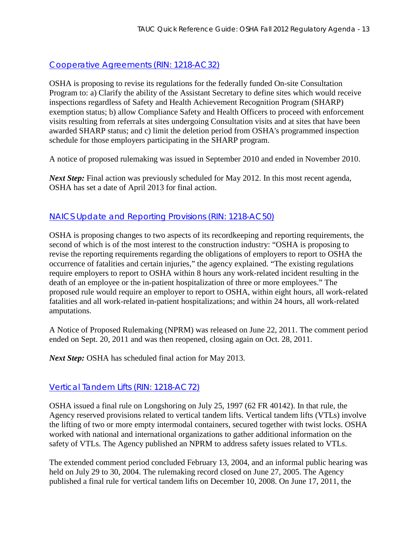## [Cooperative Agreements \(RIN: 1218-AC32\)](http://www.reginfo.gov/public/do/eAgendaViewRule?pubId=201210&RIN=1218-AC32)

OSHA is proposing to revise its regulations for the federally funded On-site Consultation Program to: a) Clarify the ability of the Assistant Secretary to define sites which would receive inspections regardless of Safety and Health Achievement Recognition Program (SHARP) exemption status; b) allow Compliance Safety and Health Officers to proceed with enforcement visits resulting from referrals at sites undergoing Consultation visits and at sites that have been awarded SHARP status; and c) limit the deletion period from OSHA's programmed inspection schedule for those employers participating in the SHARP program.

A notice of proposed rulemaking was issued in September 2010 and ended in November 2010.

*Next Step:* Final action was previously scheduled for May 2012. In this most recent agenda, OSHA has set a date of April 2013 for final action.

### [NAICS Update and Reporting Provisions \(RIN: 1218-AC50\)](http://www.reginfo.gov/public/do/eAgendaViewRule?pubId=201210&RIN=1218-AC50)

OSHA is proposing changes to two aspects of its recordkeeping and reporting requirements, the second of which is of the most interest to the construction industry: "OSHA is proposing to revise the reporting requirements regarding the obligations of employers to report to OSHA the occurrence of fatalities and certain injuries," the agency explained. "The existing regulations require employers to report to OSHA within 8 hours any work-related incident resulting in the death of an employee or the in-patient hospitalization of three or more employees." The proposed rule would require an employer to report to OSHA, within eight hours, all work-related fatalities and all work-related in-patient hospitalizations; and within 24 hours, all work-related amputations.

A Notice of Proposed Rulemaking (NPRM) was released on June 22, 2011. The comment period ended on Sept. 20, 2011 and was then reopened, closing again on Oct. 28, 2011.

*Next Step:* OSHA has scheduled final action for May 2013.

### [Vertical Tandem Lifts \(RIN: 1218-AC72\)](http://www.reginfo.gov/public/do/eAgendaViewRule?pubId=201210&RIN=1218-AC72)

OSHA issued a final rule on Longshoring on July 25, 1997 (62 FR 40142). In that rule, the Agency reserved provisions related to vertical tandem lifts. Vertical tandem lifts (VTLs) involve the lifting of two or more empty intermodal containers, secured together with twist locks. OSHA worked with national and international organizations to gather additional information on the safety of VTLs. The Agency published an NPRM to address safety issues related to VTLs.

The extended comment period concluded February 13, 2004, and an informal public hearing was held on July 29 to 30, 2004. The rulemaking record closed on June 27, 2005. The Agency published a final rule for vertical tandem lifts on December 10, 2008. On June 17, 2011, the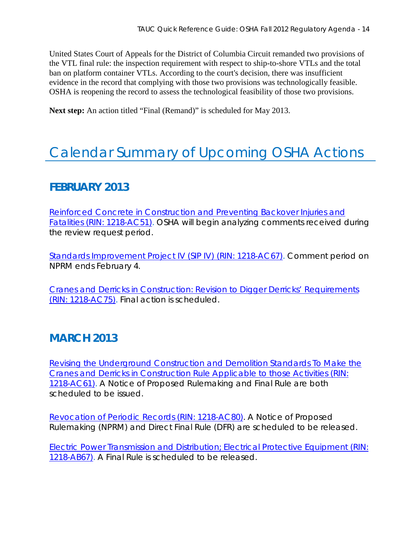United States Court of Appeals for the District of Columbia Circuit remanded two provisions of the VTL final rule: the inspection requirement with respect to ship-to-shore VTLs and the total ban on platform container VTLs. According to the court's decision, there was insufficient evidence in the record that complying with those two provisions was technologically feasible. OSHA is reopening the record to assess the technological feasibility of those two provisions.

Next step: An action titled "Final (Remand)" is scheduled for May 2013.

# Calendar Summary of Upcoming OSHA Actions

## **FEBRUARY 2013**

[Reinforced Concrete in Construction and Preventing Backover Injuries and](http://www.reginfo.gov/public/do/eAgendaViewRule?pubId=201210&RIN=1218-AC51)  [Fatalities \(RIN: 1218-AC51\).](http://www.reginfo.gov/public/do/eAgendaViewRule?pubId=201210&RIN=1218-AC51) OSHA will begin analyzing comments received during the review request period.

[Standards Improvement Project IV \(SIP IV\) \(RIN: 1218-AC67\).](http://www.reginfo.gov/public/do/eAgendaViewRule?pubId=201210&RIN=1218-AC67) Comment period on NPRM ends February 4.

[Cranes and Derricks in Construction: Revision to Digger Derricks' Requirements](http://www.reginfo.gov/public/do/eAgendaViewRule?pubId=201210&RIN=1218-AC75)  [\(RIN: 1218-AC75\).](http://www.reginfo.gov/public/do/eAgendaViewRule?pubId=201210&RIN=1218-AC75) Final action is scheduled.

## **MARCH 2013**

[Revising the Underground Construction and Demolition Standards To Make the](http://www.reginfo.gov/public/do/eAgendaViewRule?pubId=201210&RIN=1218-AC61)  [Cranes and Derricks in Construction Rule Applicable to those Activities \(RIN:](http://www.reginfo.gov/public/do/eAgendaViewRule?pubId=201210&RIN=1218-AC61)  [1218-AC61\).](http://www.reginfo.gov/public/do/eAgendaViewRule?pubId=201210&RIN=1218-AC61) A Notice of Proposed Rulemaking and Final Rule are both scheduled to be issued.

[Revocation of Periodic Records \(RIN: 1218-AC80\).](http://www.reginfo.gov/public/do/eAgendaViewRule?pubId=201210&RIN=1218-AC80) A Notice of Proposed Rulemaking (NPRM) and Direct Final Rule (DFR) are scheduled to be released.

[Electric Power Transmission and Distribution; Electrical Protective Equipment \(RIN:](http://www.reginfo.gov/public/do/eAgendaViewRule?pubId=201210&RIN=1218-AB67)  [1218-AB67\).](http://www.reginfo.gov/public/do/eAgendaViewRule?pubId=201210&RIN=1218-AB67) A Final Rule is scheduled to be released.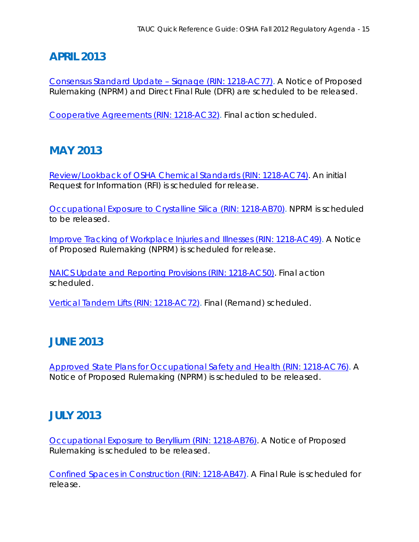# **APRIL 2013**

[Consensus Standard Update –](http://www.reginfo.gov/public/do/eAgendaViewRule?pubId=201210&RIN=1218-AC77) Signage (RIN: 1218-AC77). A Notice of Proposed Rulemaking (NPRM) and Direct Final Rule (DFR) are scheduled to be released.

[Cooperative Agreements \(RIN: 1218-AC32\).](http://www.reginfo.gov/public/do/eAgendaViewRule?pubId=201210&RIN=1218-AC32) Final action scheduled.

# **MAY 2013**

[Review/Lookback of OSHA Chemical Standards \(RIN: 1218-AC74\).](http://www.reginfo.gov/public/do/eAgendaViewRule?pubId=201210&RIN=1218-AC74) An initial Request for Information (RFI) is scheduled for release.

[Occupational Exposure to Crystalline Silica \(RIN: 1218-AB70\).](http://www.reginfo.gov/public/do/eAgendaViewRule?pubId=201210&RIN=1218-AB70) NPRM is scheduled to be released.

[Improve Tracking of Workplace Injuries and Illnesses \(RIN: 1218-AC49\).](http://www.reginfo.gov/public/do/eAgendaViewRule?pubId=201210&RIN=1218-AC49) A Notice of Proposed Rulemaking (NPRM) is scheduled for release.

[NAICS Update and Reporting Provisions \(RIN: 1218-AC50\).](http://www.reginfo.gov/public/do/eAgendaViewRule?pubId=201210&RIN=1218-AC50) Final action scheduled.

[Vertical Tandem Lifts \(RIN: 1218-AC72\).](http://www.reginfo.gov/public/do/eAgendaViewRule?pubId=201210&RIN=1218-AC72) Final (Remand) scheduled.

# **JUNE 2013**

[Approved State Plans for Occupational Safety and Health \(RIN: 1218-AC76\).](http://www.reginfo.gov/public/do/eAgendaViewRule?pubId=201210&RIN=1218-AC76) A Notice of Proposed Rulemaking (NPRM) is scheduled to be released.

# **JULY 2013**

[Occupational Exposure to Beryllium \(RIN: 1218-AB76\).](http://www.reginfo.gov/public/do/eAgendaViewRule?pubId=201210&RIN=1218-AB76) A Notice of Proposed Rulemaking is scheduled to be released.

[Confined Spaces in Construction \(RIN: 1218-AB47\).](http://www.reginfo.gov/public/do/eAgendaViewRule?pubId=201210&RIN=1218-AB47) A Final Rule is scheduled for release.